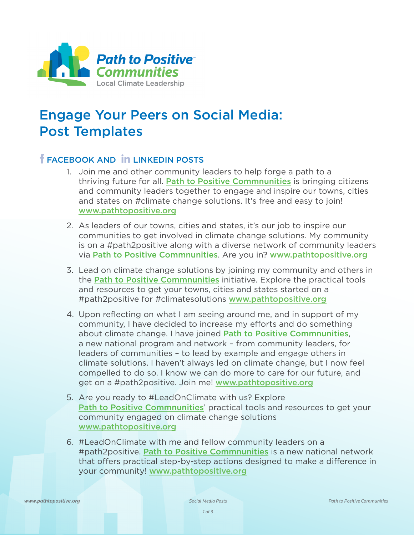

## Engage Your Peers on Social Media: Post Templates

## **FEACEBOOK AND IN LINKEDIN POSTS**

- 1. Join me and other community leaders to help forge a path to a thriving future for all. [Path to Positive Commnunities](www.pathtopositive.org) is bringing citizens and community leaders together to engage and inspire our towns, cities and states on #climate change solutions. It's free and easy to join! <www.pathtopositive.org>
- 2. As leaders of our towns, cities and states, it's our job to inspire our communities to get involved in climate change solutions. My community is on a #path2positive along with a diverse network of community leaders via [Path to Positive Commnunities](www.pathtopositive.org). Are you in? <www.pathtopositive.org>
- 3. Lead on climate change solutions by joining my community and others in the [Path to Positive Commnunities](www.pathtopositive.org) initiative. Explore the practical tools and resources to get your towns, cities and states started on a #path2positive for #climatesolutions <www.pathtopositive.org>
- 4. Upon reflecting on what I am seeing around me, and in support of my community, I have decided to increase my efforts and do something about climate change. I have joined [Path to Positive Commnunities](www.pathtopositive.org), a new national program and network – from community leaders, for leaders of communities – to lead by example and engage others in climate solutions. I haven't always led on climate change, but I now feel compelled to do so. I know we can do more to care for our future, and get on a #path2positive. Join me! <www.pathtopositive.org>
- 5. Are you ready to #LeadOnClimate with us? Explore [Path to Positive Commnunities](www.pathtopositive.org)' practical tools and resources to get your community engaged on climate change solutions <www.pathtopositive.org>
- 6. #LeadOnClimate with me and fellow community leaders on a #path2positive. [Path to Positive Commnunities](www.pathtopositive.org) is a new national network that offers practical step-by-step actions designed to make a difference in your community! <www.pathtopositive.org>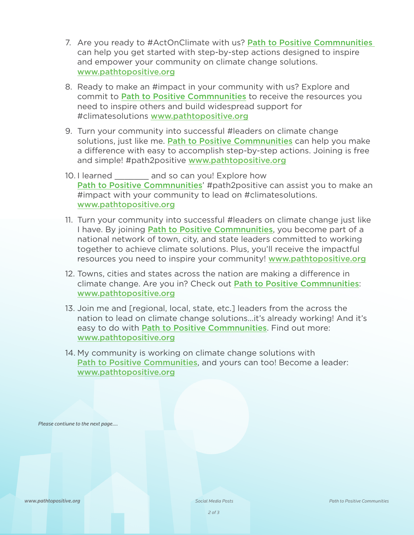- 7. Are you ready to #ActOnClimate with us? [Path to Positive Commnunities](www.pathtopositive.org) can help you get started with step-by-step actions designed to inspire and empower your community on climate change solutions. <www.pathtopositive.org>
- 8. Ready to make an #impact in your community with us? Explore and commit to [Path to Positive Commnunities](www.pathtopositive.org) to receive the resources you need to inspire others and build widespread support for #climatesolutions <www.pathtopositive.org>
- 9. Turn your community into successful #leaders on climate change solutions, just like me. [Path to Positive Commnunities](www.pathtopositive.org) can help you make a difference with easy to accomplish step-by-step actions. Joining is free and simple! #path2positive <www.pathtopositive.org>
- 10. I learned and so can you! Explore how [Path to Positive Commnunities](www.pathtopositive.org)' #path2positive can assist you to make an #impact with your community to lead on #climatesolutions. [www.pathtopositive.org](http://pathtopositive.org)
- 11. Turn your community into successful #leaders on climate change just like I have. By joining **[Path to Positive Commnunities](www.pathtopositive.org)**, you become part of a national network of town, city, and state leaders committed to working together to achieve climate solutions. Plus, you'll receive the impactful resources you need to inspire your community! <www.pathtopositive.org>
- 12. Towns, cities and states across the nation are making a difference in climate change. Are you in? Check out [Path to Positive Commnunities](www.pathtopositive.org): <www.pathtopositive.org>
- 13. Join me and [regional, local, state, etc.] leaders from the across the nation to lead on climate change solutions...it's already working! And it's easy to do with [Path to Positive Commnunities](www.pathtopositive.org). Find out more: <www.pathtopositive.org>
- 14. My community is working on climate change solutions with [Path to Positive Communities](www.pathtopositive.org), and yours can too! Become a leader: <www.pathtopositive.org>

*Please contiune to the next page....*